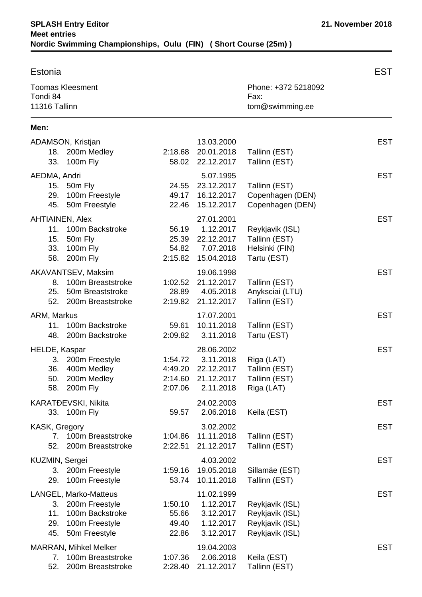| Estonia                                                                                                                  |                                          |                                                                  |                                                                          | EST        |
|--------------------------------------------------------------------------------------------------------------------------|------------------------------------------|------------------------------------------------------------------|--------------------------------------------------------------------------|------------|
| <b>Toomas Kleesment</b><br>Tondi 84<br>11316 Tallinn                                                                     |                                          |                                                                  | Phone: +372 5218092<br>Fax:<br>tom@swimming.ee                           |            |
| Men:                                                                                                                     |                                          |                                                                  |                                                                          |            |
| ADAMSON, Kristjan<br>18. 200m Medley<br>100m Fly<br>33.                                                                  | 2:18.68<br>58.02                         | 13.03.2000<br>20.01.2018<br>22.12.2017                           | Tallinn (EST)<br>Tallinn (EST)                                           | <b>EST</b> |
| AEDMA, Andri<br>15. 50m Fly<br>29.<br>100m Freestyle<br>50m Freestyle<br>45.                                             | 24.55<br>49.17<br>22.46                  | 5.07.1995<br>23.12.2017<br>16.12.2017<br>15.12.2017              | Tallinn (EST)<br>Copenhagen (DEN)<br>Copenhagen (DEN)                    | <b>EST</b> |
| <b>AHTIAINEN, Alex</b><br>11.<br>100m Backstroke<br>15.<br>50m Fly<br>33.<br>100m Fly<br>200m Fly<br>58.                 | 56.19<br>25.39<br>54.82<br>2:15.82       | 27.01.2001<br>1.12.2017<br>22.12.2017<br>7.07.2018<br>15.04.2018 | Reykjavik (ISL)<br>Tallinn (EST)<br>Helsinki (FIN)<br>Tartu (EST)        | <b>EST</b> |
| AKAVANTSEV, Maksim<br>100m Breaststroke<br>8.<br>50m Breaststroke<br>25.<br>52.<br>200m Breaststroke                     | 1:02.52<br>28.89<br>2:19.82              | 19.06.1998<br>21.12.2017<br>4.05.2018<br>21.12.2017              | Tallinn (EST)<br>Anyksciai (LTU)<br>Tallinn (EST)                        | <b>EST</b> |
| ARM, Markus<br>100m Backstroke<br>11.<br>48.<br>200m Backstroke                                                          | 59.61<br>2:09.82                         | 17.07.2001<br>10.11.2018<br>3.11.2018                            | Tallinn (EST)<br>Tartu (EST)                                             | <b>EST</b> |
| HELDE, Kaspar<br>200m Freestyle<br>3.<br>36.<br>400m Medley<br>200m Medley<br>50.<br>58. 200m Fly                        | 1:54.72<br>4:49.20<br>2:14.60<br>2:07.06 | 28.06.2002<br>3.11.2018<br>22.12.2017<br>21.12.2017<br>2.11.2018 | Riga (LAT)<br>Tallinn (EST)<br>Tallinn (EST)<br>Riga (LAT)               | <b>EST</b> |
| KARATĐEVSKI, Nikita<br>33. 100m Fly                                                                                      | 59.57                                    | 24.02.2003<br>2.06.2018                                          | Keila (EST)                                                              | <b>EST</b> |
| KASK, Gregory<br>100m Breaststroke<br>7.<br>52.<br>200m Breaststroke                                                     | 1:04.86<br>2:22.51                       | 3.02.2002<br>11.11.2018<br>21.12.2017                            | Tallinn (EST)<br>Tallinn (EST)                                           | <b>EST</b> |
| KUZMIN, Sergei<br>3. 200m Freestyle<br>100m Freestyle<br>29.                                                             | 1:59.16<br>53.74                         | 4.03.2002<br>19.05.2018<br>10.11.2018                            | Sillamäe (EST)<br>Tallinn (EST)                                          | <b>EST</b> |
| LANGEL, Marko-Matteus<br>200m Freestyle<br>3.<br>100m Backstroke<br>11.<br>100m Freestyle<br>29.<br>45.<br>50m Freestyle | 1:50.10<br>55.66<br>49.40<br>22.86       | 11.02.1999<br>1.12.2017<br>3.12.2017<br>1.12.2017<br>3.12.2017   | Reykjavik (ISL)<br>Reykjavik (ISL)<br>Reykjavik (ISL)<br>Reykjavik (ISL) | <b>EST</b> |
| <b>MARRAN, Mihkel Melker</b><br>100m Breaststroke<br>7.<br>52.<br>200m Breaststroke                                      | 1:07.36<br>2:28.40                       | 19.04.2003<br>2.06.2018<br>21.12.2017                            | Keila (EST)<br>Tallinn (EST)                                             | <b>EST</b> |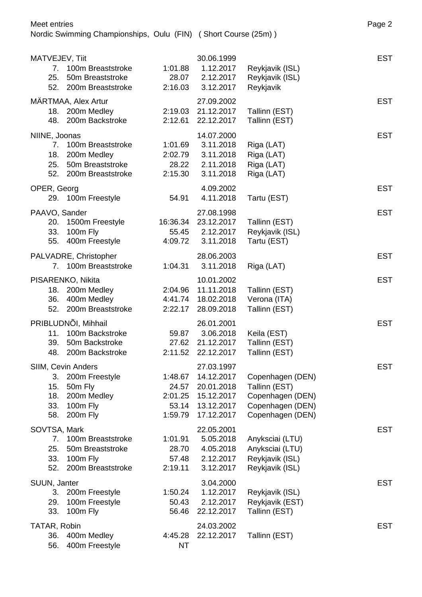| MATVEJEV, Tiit                           |                                                                                        |                                                 | 30.06.1999                                                                       |                                                                                               | <b>EST</b> |
|------------------------------------------|----------------------------------------------------------------------------------------|-------------------------------------------------|----------------------------------------------------------------------------------|-----------------------------------------------------------------------------------------------|------------|
| 25.                                      | 7. 100m Breaststroke<br>50m Breaststroke                                               | 1:01.88<br>28.07                                | 1.12.2017<br>2.12.2017                                                           | Reykjavik (ISL)<br>Reykjavik (ISL)                                                            |            |
|                                          | 52. 200m Breaststroke                                                                  | 2:16.03                                         | 3.12.2017                                                                        | Reykjavik                                                                                     |            |
| 48.                                      | MÄRTMAA, Alex Artur<br>18. 200m Medley<br>200m Backstroke                              | 2:19.03<br>2:12.61                              | 27.09.2002<br>21.12.2017<br>22.12.2017                                           | Tallinn (EST)<br>Tallinn (EST)                                                                | <b>EST</b> |
|                                          |                                                                                        |                                                 | 14.07.2000                                                                       |                                                                                               | <b>EST</b> |
| NIINE, Joonas<br>7.<br>18.<br>25.<br>52. | 100m Breaststroke<br>200m Medley<br>50m Breaststroke<br>200m Breaststroke              | 1:01.69<br>2:02.79<br>28.22<br>2:15.30          | 3.11.2018<br>3.11.2018<br>2.11.2018<br>3.11.2018                                 | Riga (LAT)<br>Riga (LAT)<br>Riga (LAT)<br>Riga (LAT)                                          |            |
| OPER, Georg                              | 29. 100m Freestyle                                                                     | 54.91                                           | 4.09.2002<br>4.11.2018                                                           | Tartu (EST)                                                                                   | <b>EST</b> |
| PAAVO, Sander<br>20.<br>33.<br>55.       | 1500m Freestyle<br>100m Fly<br>400m Freestyle                                          | 16:36.34<br>4:09.72                             | 27.08.1998<br>23.12.2017<br>55.45 2.12.2017<br>3.11.2018                         | Tallinn (EST)<br>Reykjavik (ISL)<br>Tartu (EST)                                               | <b>EST</b> |
|                                          | PALVADRE, Christopher<br>7. 100m Breaststroke                                          | 1:04.31                                         | 28.06.2003<br>3.11.2018                                                          | Riga (LAT)                                                                                    | <b>EST</b> |
| 18.<br>36.<br>52.                        | PISARENKO, Nikita<br>200m Medley<br>400m Medley<br>200m Breaststroke                   | 2:04.96<br>4:41.74<br>2:22.17                   | 10.01.2002<br>11.11.2018<br>18.02.2018<br>28.09.2018                             | Tallinn (EST)<br>Verona (ITA)<br>Tallinn (EST)                                                | <b>EST</b> |
| 11.<br>39.<br>48.                        | PRIBLUDNÕI, Mihhail<br>100m Backstroke<br>50m Backstroke<br>200m Backstroke            | 59.87<br>2:11.52                                | 26.01.2001<br>3.06.2018<br>27.62 21.12.2017<br>22.12.2017                        | Keila (EST)<br>Tallinn (EST)<br>Tallinn (EST)                                                 | <b>EST</b> |
| 3.<br>15.<br>18.<br>33.<br>58.           | SIIM, Cevin Anders<br>200m Freestyle<br>50m Fly<br>200m Medley<br>100m Fly<br>200m Fly | 1:48.67<br>24.57<br>2:01.25<br>53.14<br>1:59.79 | 27.03.1997<br>14.12.2017<br>20.01.2018<br>15.12.2017<br>13.12.2017<br>17.12.2017 | Copenhagen (DEN)<br>Tallinn (EST)<br>Copenhagen (DEN)<br>Copenhagen (DEN)<br>Copenhagen (DEN) | <b>EST</b> |
| SOVTSA, Mark<br>7.<br>25.<br>33.<br>52.  | 100m Breaststroke<br>50m Breaststroke<br>100m Fly<br>200m Breaststroke                 | 1:01.91<br>28.70<br>57.48<br>2:19.11            | 22.05.2001<br>5.05.2018<br>4.05.2018<br>2.12.2017<br>3.12.2017                   | Anyksciai (LTU)<br>Anyksciai (LTU)<br>Reykjavik (ISL)<br>Reykjavik (ISL)                      | <b>EST</b> |
| SUUN, Janter<br>3.<br>29.<br>33.         | 200m Freestyle<br>100m Freestyle<br>100m Fly                                           | 1:50.24<br>50.43<br>56.46                       | 3.04.2000<br>1.12.2017<br>2.12.2017<br>22.12.2017                                | Reykjavik (ISL)<br>Reykjavik (EST)<br>Tallinn (EST)                                           | <b>EST</b> |
| TATAR, Robin<br>36.<br>56.               | 400m Medley<br>400m Freestyle                                                          | 4:45.28<br><b>NT</b>                            | 24.03.2002<br>22.12.2017                                                         | Tallinn (EST)                                                                                 | <b>EST</b> |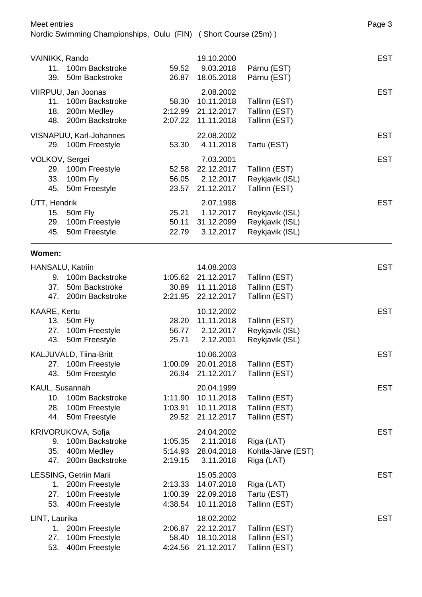| Meet entries<br>Nordic Swimming Championships, Oulu (FIN) (Short Course (25m)) |                                                                              |                               |                                                      | Page 3                                                |            |  |
|--------------------------------------------------------------------------------|------------------------------------------------------------------------------|-------------------------------|------------------------------------------------------|-------------------------------------------------------|------------|--|
| VAINIKK, Rando<br>11.<br>39.                                                   | 100m Backstroke<br>50m Backstroke                                            | 59.52<br>26.87                | 19.10.2000<br>9.03.2018<br>18.05.2018                | Pärnu (EST)<br>Pärnu (EST)                            | <b>EST</b> |  |
| 11.<br>18.                                                                     | VIIRPUU, Jan Joonas<br>100m Backstroke<br>200m Medley<br>48. 200m Backstroke | 58.30<br>2:12.99<br>2:07.22   | 2.08.2002<br>10.11.2018<br>21.12.2017<br>11.11.2018  | Tallinn (EST)<br>Tallinn (EST)<br>Tallinn (EST)       | <b>EST</b> |  |
|                                                                                | VISNAPUU, Karl-Johannes<br>29. 100m Freestyle                                | 53.30                         | 22.08.2002<br>4.11.2018                              | Tartu (EST)                                           | <b>EST</b> |  |
| VOLKOV, Sergei<br>29.<br>33.<br>45.                                            | 100m Freestyle<br>100m Fly<br>50m Freestyle                                  | 52.58<br>56.05<br>23.57       | 7.03.2001<br>22.12.2017<br>2.12.2017<br>21.12.2017   | Tallinn (EST)<br>Reykjavik (ISL)<br>Tallinn (EST)     | <b>EST</b> |  |
| ÜTT, Hendrik<br>15.<br>29.<br>45.                                              | 50m Fly<br>100m Freestyle<br>50m Freestyle                                   | 25.21<br>50.11<br>22.79       | 2.07.1998<br>1.12.2017<br>31.12.2099<br>3.12.2017    | Reykjavik (ISL)<br>Reykjavik (ISL)<br>Reykjavik (ISL) | <b>EST</b> |  |
| Women:                                                                         |                                                                              |                               |                                                      |                                                       |            |  |
| <b>HANSALU, Katriin</b><br>9.<br>37.<br>47.                                    | 100m Backstroke<br>50m Backstroke<br>200m Backstroke                         | 1:05.62<br>30.89<br>2:21.95   | 14.08.2003<br>21.12.2017<br>11.11.2018<br>22.12.2017 | Tallinn (EST)<br>Tallinn (EST)<br>Tallinn (EST)       | <b>EST</b> |  |
| KAARE, Kertu<br>27.                                                            | 13. 50m Fly<br>100m Freestyle<br>43. 50m Freestyle                           | 28.20<br>56.77<br>25.71       | 10.12.2002<br>11.11.2018<br>2.12.2017<br>2.12.2001   | Tallinn (EST)<br>Reykjavik (ISL)<br>Reykjavik (ISL)   | <b>EST</b> |  |
| 27.<br>43.                                                                     | KALJUVALD, Tiina-Britt<br>100m Freestyle<br>50m Freestyle                    | 1:00.09<br>26.94              | 10.06.2003<br>20.01.2018<br>21.12.2017               | Tallinn (EST)<br>Tallinn (EST)                        | <b>EST</b> |  |
| KAUL, Susannah<br>10.<br>28.<br>44.                                            | 100m Backstroke<br>100m Freestyle<br>50m Freestyle                           | 1:11.90<br>1:03.91<br>29.52   | 20.04.1999<br>10.11.2018<br>10.11.2018<br>21.12.2017 | Tallinn (EST)<br>Tallinn (EST)<br>Tallinn (EST)       | <b>EST</b> |  |
| 9.<br>35.<br>47.                                                               | KRIVORUKOVA, Sofja<br>100m Backstroke<br>400m Medley<br>200m Backstroke      | 1:05.35<br>5:14.93<br>2:19.15 | 24.04.2002<br>2.11.2018<br>28.04.2018<br>3.11.2018   | Riga (LAT)<br>Kohtla-Järve (EST)<br>Riga (LAT)        | <b>EST</b> |  |
| 1.<br>27.<br>53.                                                               | LESSING, Getriin Marii<br>200m Freestyle<br>100m Freestyle<br>400m Freestyle | 2:13.33<br>1:00.39<br>4:38.54 | 15.05.2003<br>14.07.2018<br>22.09.2018<br>10.11.2018 | Riga (LAT)<br>Tartu (EST)<br>Tallinn (EST)            | <b>EST</b> |  |
| LINT, Laurika<br>1.<br>27.<br>53.                                              | 200m Freestyle<br>100m Freestyle<br>400m Freestyle                           | 2:06.87<br>58.40<br>4:24.56   | 18.02.2002<br>22.12.2017<br>18.10.2018<br>21.12.2017 | Tallinn (EST)<br>Tallinn (EST)<br>Tallinn (EST)       | <b>EST</b> |  |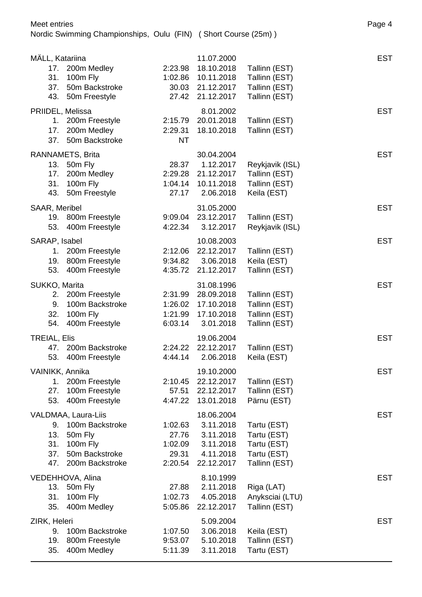| MÄLL, Katariina<br>17.<br>31.<br>37.<br>43. | 200m Medley<br>100m Fly<br>50m Backstroke<br>50m Freestyle                                         | 2:23.98<br>27.42                                | 11.07.2000<br>18.10.2018<br>1:02.86 10.11.2018<br>30.03 21.12.2017<br>21.12.2017 | Tallinn (EST)<br>Tallinn (EST)<br>Tallinn (EST)<br>Tallinn (EST)          | <b>EST</b> |
|---------------------------------------------|----------------------------------------------------------------------------------------------------|-------------------------------------------------|----------------------------------------------------------------------------------|---------------------------------------------------------------------------|------------|
| PRIIDEL, Melissa<br>17.<br>37.              | 1. 200m Freestyle<br>200m Medley<br>50m Backstroke                                                 | 2:15.79<br>2:29.31<br><b>NT</b>                 | 8.01.2002<br>20.01.2018<br>18.10.2018                                            | Tallinn (EST)<br>Tallinn (EST)                                            | <b>EST</b> |
| 13.<br>17.<br>31.<br>43.                    | RANNAMETS, Brita<br>50m Fly<br>200m Medley<br>100m Fly<br>50m Freestyle                            | 28.37<br>2:29.28<br>27.17                       | 30.04.2004<br>1.12.2017<br>21.12.2017<br>1:04.14 10.11.2018<br>2.06.2018         | Reykjavik (ISL)<br>Tallinn (EST)<br>Tallinn (EST)<br>Keila (EST)          | <b>EST</b> |
| SAAR, Meribel<br>53.                        | 19. 800m Freestyle<br>400m Freestyle                                                               | 4:22.34                                         | 31.05.2000<br>9:09.04 23.12.2017<br>3.12.2017                                    | Tallinn (EST)<br>Reykjavik (ISL)                                          | <b>EST</b> |
| SARAP, Isabel<br>1.<br>19.<br>53.           | 200m Freestyle<br>800m Freestyle<br>400m Freestyle                                                 | 2:12.06<br>4:35.72                              | 10.08.2003<br>22.12.2017<br>9:34.82 3.06.2018<br>21.12.2017                      | Tallinn (EST)<br>Keila (EST)<br>Tallinn (EST)                             | <b>EST</b> |
| SUKKO, Marita<br>2.<br>9.<br>32.<br>54.     | 200m Freestyle<br>100m Backstroke<br>100m Fly<br>400m Freestyle                                    | 2:31.99<br>1:26.02<br>1:21.99<br>6:03.14        | 31.08.1996<br>28.09.2018<br>17.10.2018<br>17.10.2018<br>3.01.2018                | Tallinn (EST)<br>Tallinn (EST)<br>Tallinn (EST)<br>Tallinn (EST)          | <b>EST</b> |
| <b>TREIAL, Elis</b><br>47.<br>53.           | 200m Backstroke<br>400m Freestyle                                                                  | 2:24.22<br>4:44.14                              | 19.06.2004<br>22.12.2017<br>2.06.2018                                            | Tallinn (EST)<br>Keila (EST)                                              | <b>EST</b> |
| VAINIKK, Annika<br>1.<br>27.<br>53.         | 200m Freestyle<br>100m Freestyle<br>400m Freestyle                                                 | 2:10.45<br>57.51<br>4:47.22                     | 19.10.2000<br>22.12.2017<br>22.12.2017<br>13.01.2018                             | Tallinn (EST)<br>Tallinn (EST)<br>Pärnu (EST)                             | <b>EST</b> |
| 9.<br>13.<br>31.<br>37.<br>47.              | VALDMAA, Laura-Liis<br>100m Backstroke<br>50m Fly<br>100m Fly<br>50m Backstroke<br>200m Backstroke | 1:02.63<br>27.76<br>1:02.09<br>29.31<br>2:20.54 | 18.06.2004<br>3.11.2018<br>3.11.2018<br>3.11.2018<br>4.11.2018<br>22.12.2017     | Tartu (EST)<br>Tartu (EST)<br>Tartu (EST)<br>Tartu (EST)<br>Tallinn (EST) | <b>EST</b> |
| 13.<br>31.<br>35.                           | VEDEHHOVA, Alina<br>50m Fly<br>100m Fly<br>400m Medley                                             | 27.88<br>1:02.73<br>5:05.86                     | 8.10.1999<br>2.11.2018<br>4.05.2018<br>22.12.2017                                | Riga (LAT)<br>Anyksciai (LTU)<br>Tallinn (EST)                            | <b>EST</b> |
| ZIRK, Heleri<br>9.<br>19.<br>35.            | 100m Backstroke<br>800m Freestyle<br>400m Medley                                                   | 1:07.50<br>9:53.07<br>5:11.39                   | 5.09.2004<br>3.06.2018<br>5.10.2018<br>3.11.2018                                 | Keila (EST)<br>Tallinn (EST)<br>Tartu (EST)                               | <b>EST</b> |